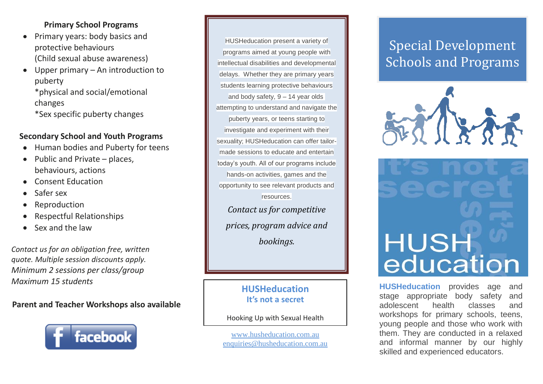# **Primary School Programs**

- Primary years: body basics and protective behaviours (Child sexual abuse awareness)
- Upper primary An introduction to puberty

\*physical and social/emotional changes

\*Sex specific puberty changes

# **Secondary School and Youth Programs**

- Human bodies and Puberty for teens
- $\bullet$  Public and Private places, behaviours, actions
- Consent Education
- Safer sex
- Reproduction  $\bullet$
- Respectful Relationships
- Sex and the law

*Contact us for an obligation free, written quote. Multiple session discounts apply. Minimum 2 sessions per class/group Maximum 15 students*

# **Parent and Teacher Workshops also available**



HUSHeducation present a variety of programs aimed at young people with intellectual disabilities and developmental delays. Whether they are primary years students learning protective behaviours and body safety, 9 – 14 year olds attempting to understand and navigate the puberty years, or teens starting to investigate and experiment with their sexuality; HUSHeducation can offer tailormade sessions to educate and entertain today's youth. All of our programs include hands-on activities, games and the opportunity to see relevant products and resources. *Contact us for competitive prices, program advice and bookings.*

> **HUSHeducation It's not a secret**

Hooking Up with Sexual Health

[www.husheducation.com.au](http://www.husheducation.com.au/) [enquiries@husheducation.com.au](mailto:enquiries@husheducation.com.au)

# Special Development Schools and Programs





**HUSHeducation** provides age and stage appropriate body safety and adolescent health classes and workshops for primary schools, teens, young people and those who work with them. They are conducted in a relaxed and informal manner by our highly skilled and experienced educators.